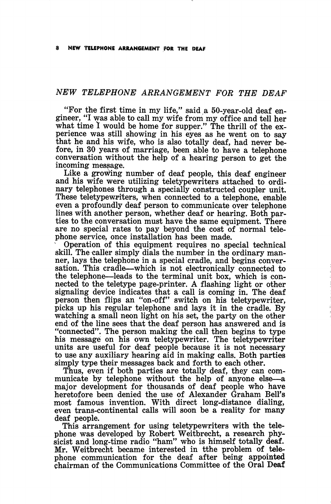## NEW TELEPHONE ARRANGEMENT FOR THE DEAF

"For the first time in my life," said a 50-year-old deaf en gineer, "I was able to call my wife from my office and tell her what time I would be home for supper." The thrill of the experience was still showing in his eyes as he went on to say that he and his wife, who is also totally deaf, had never be fore, in 30 years of marriage, been able to have a telephone conversation without the help of a hearing person to get the incoming message.

Like a growing number of deaf people, this deaf engineer and his wife were utilizing teletypewriters attached to ordi nary telephones through a specially constructed coupler unit. These teletypewriters, when connected to a telephone, enable even a profoundly deaf person to communicate over telephone lines with another person, whether deaf or hearing. Both par ties to the conversation must have the same equipment. There are no special rates to pay beyond the cost of normal tele phone service, once installation has been made.

Operation of this equipment requires no special technical skill. The caller simply dials the number in the ordinary man ner, lays the telephone in a special cradle, and begins conver sation. This cradle—which is not electronically connected to the telephone—leads to the terminal unit box, which is con nected to the teletype page-printer. A flashing light or other signaling device indicates that a call is coming in. The deaf person then flips an "on-off" switch on his teletypewriter, picks up his regular telephone and lays it in the cradle. By watching a small neon light on his set, the party on the other end of the line sees that the deaf person has answered and is "connected". The person making the call then begins to type his message on his own teletypewriter. The teletypewriter units are useful for deaf people because it is not necessary to use any auxiliary hearing aid in making calls. Both parties simply type their messages back and forth to each other.

Thus, even if both parties are totally deaf, they can com municate by telephone without the help of anyone else—a major development for thousands of deaf people who have heretofore been denied the use of Alexander Graham Bell's most famous invention. With direct long-distance dialing, even trans-continental calls will soon be a reality for many deaf people.

This arrangement for using teletypewriters with the telephone was developed by Robert Weitbrecht, a research phy sicist and long-time radio "ham" who is himself totally deaf. Mr. Weitbrecht became interested in tthe problem of tele phone communication for the deaf after being appointed chairman of the Communications Committee of the Oral Deaf